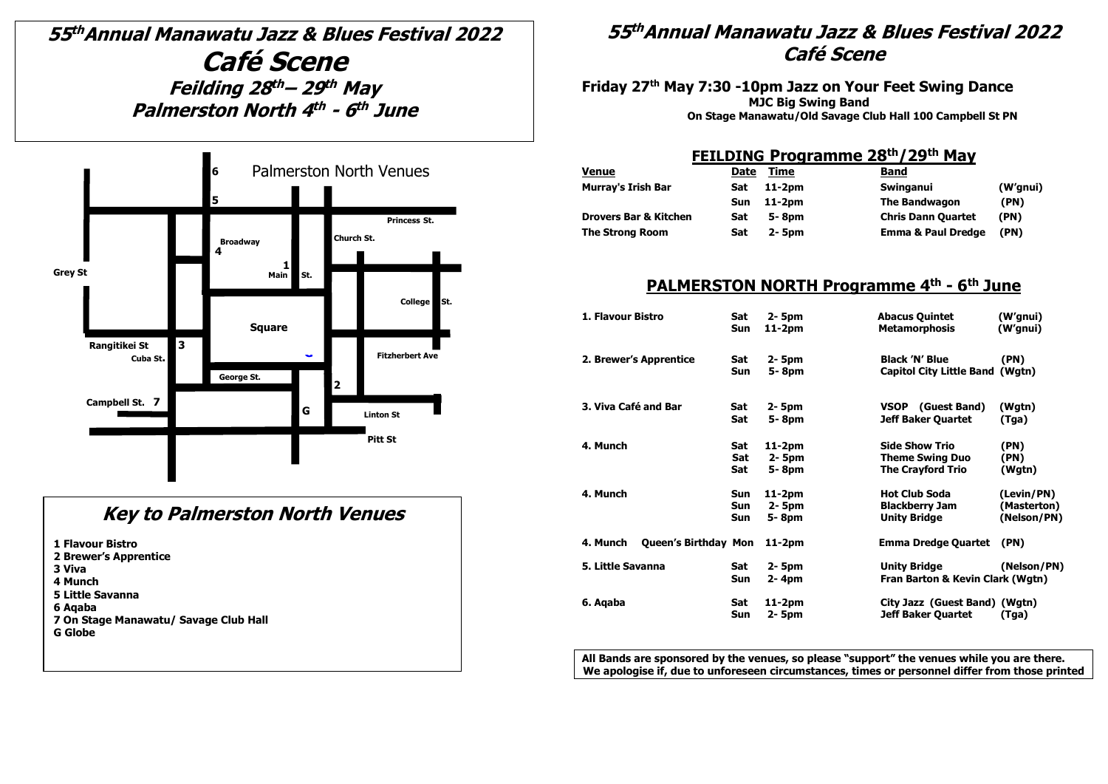# **55 thAnnual Manawatu Jazz & Blues Festival 2022 Café Scene Feilding 28 th – 29 th May Palmerston North 4 th - 6 th June**



### **Key to Palmerston North Venues**

**1 Flavour Bistro**

- **2 Brewer's Apprentice**
- **3 Viva**
- **4 Munch**
- **5 Little Savanna**
- **6 Aqaba**
- **7 On Stage Manawatu/ Savage Club Hall**

**G Globe** 

### **55 thAnnual Manawatu Jazz & Blues Festival 2022 Café Scene**

**Friday 27th May 7:30 -10pm Jazz on Your Feet Swing Dance MJC Big Swing Band On Stage Manawatu/Old Savage Club Hall 100 Campbell St PN**

#### **FEILDING Programme 28th/29 th May**

| <b>Venue</b>                     | Date | Time       | <b>Band</b>                   |          |
|----------------------------------|------|------------|-------------------------------|----------|
| <b>Murray's Irish Bar</b>        | Sat  | $11-2pm$   | Swinganui                     | (W'gnui) |
|                                  | Sun  | $11-2pm$   | <b>The Bandwagon</b>          | (PN)     |
| <b>Drovers Bar &amp; Kitchen</b> | Sat  | 5-8pm      | <b>Chris Dann Quartet</b>     | (PN)     |
| <b>The Strong Room</b>           | Sat  | $2 - 5$ pm | <b>Emma &amp; Paul Dredge</b> | (PN)     |

#### **PALMERSTON NORTH Programme 4 th - 6 th June**

| 1. Flavour Bistro                       | Sat               | 2- 5pm           | <b>Abacus Quintet</b>                                      | (W'gnui)    |
|-----------------------------------------|-------------------|------------------|------------------------------------------------------------|-------------|
|                                         | Sun               | 11-2pm           | <b>Metamorphosis</b>                                       | (W'gnui)    |
| 2. Brewer's Apprentice                  | Sat<br>Sun        | 2- 5pm<br>5-8pm  | <b>Black 'N' Blue</b><br>Capitol City Little Band (Wgtn)   | (PN)        |
| 3. Viva Café and Bar                    | Sat               | 2- 5pm           | VSOP (Guest Band)                                          | (Wgtn)      |
|                                         | Sat               | 5-8pm            | <b>Jeff Baker Quartet</b>                                  | (Tga)       |
| 4. Munch                                | Sat               | $11-2pm$         | <b>Side Show Trio</b>                                      | (PN)        |
|                                         | Sat               | 2- 5pm           | <b>Theme Swing Duo</b>                                     | (PN)        |
|                                         | Sat               | 5-8pm            | <b>The Crayford Trio</b>                                   | (Wgtn)      |
| 4. Munch                                | Sun               | $11-2pm$         | <b>Hot Club Soda</b>                                       | (Levin/PN)  |
|                                         | <b>Sun</b>        | 2- 5pm           | <b>Blackberry Jam</b>                                      | (Masterton) |
|                                         | Sun               | 5-8pm            | <b>Unity Bridge</b>                                        | (Nelson/PN) |
| <b>Queen's Birthday Mon</b><br>4. Munch |                   | $11-2pm$         | <b>Emma Dredge Quartet</b>                                 | (PN)        |
| 5. Little Savanna                       | Sat<br>Sun        | 2- 5pm<br>2-4pm  | <b>Unity Bridge</b><br>Fran Barton & Kevin Clark (Wgtn)    | (Nelson/PN) |
| 6. Aqaba                                | Sat<br><b>Sun</b> | 11-2pm<br>2- 5pm | City Jazz (Guest Band) (Wgtn)<br><b>Jeff Baker Quartet</b> | (Tga)       |

**All Bands are sponsored by the venues, so please "support" the venues while you are there. We apologise if, due to unforeseen circumstances, times or personnel differ from those printed**